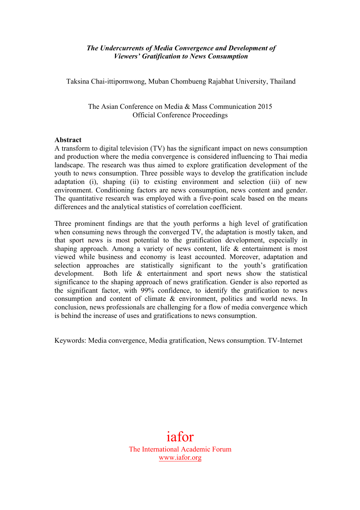## *The Undercurrents of Media Convergence and Development of Viewers' Gratification to News Consumption*

Taksina Chai-ittipornwong, Muban Chombueng Rajabhat University, Thailand

The Asian Conference on Media & Mass Communication 2015 Official Conference Proceedings

### **Abstract**

A transform to digital television (TV) has the significant impact on news consumption and production where the media convergence is considered influencing to Thai media landscape. The research was thus aimed to explore gratification development of the youth to news consumption. Three possible ways to develop the gratification include adaptation (i), shaping (ii) to existing environment and selection (iii) of new environment. Conditioning factors are news consumption, news content and gender. The quantitative research was employed with a five-point scale based on the means differences and the analytical statistics of correlation coefficient.

Three prominent findings are that the youth performs a high level of gratification when consuming news through the converged TV, the adaptation is mostly taken, and that sport news is most potential to the gratification development, especially in shaping approach. Among a variety of news content, life & entertainment is most viewed while business and economy is least accounted. Moreover, adaptation and selection approaches are statistically significant to the youth's gratification development. Both life & entertainment and sport news show the statistical significance to the shaping approach of news gratification. Gender is also reported as the significant factor, with 99% confidence, to identify the gratification to news consumption and content of climate & environment, politics and world news. In conclusion, news professionals are challenging for a flow of media convergence which is behind the increase of uses and gratifications to news consumption.

Keywords: Media convergence, Media gratification, News consumption. TV-Internet

iafor The International Academic Forum www.iafor.org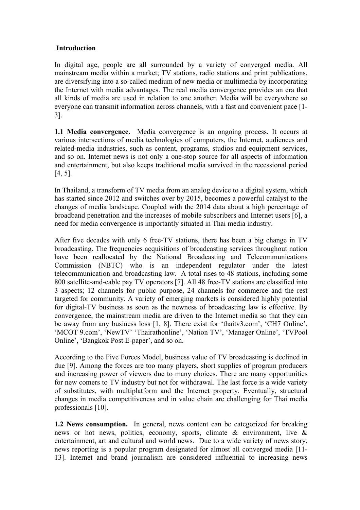### **Introduction**

In digital age, people are all surrounded by a variety of converged media. All mainstream media within a market; TV stations, radio stations and print publications, are diversifying into a so-called medium of new media or multimedia by incorporating the Internet with media advantages. The real media convergence provides an era that all kinds of media are used in relation to one another. Media will be everywhere so everyone can transmit information across channels, with a fast and convenient pace [1- 3].

**1.1 Media convergence.** Media convergence is an ongoing process. It occurs at various intersections of media technologies of computers, the Internet, audiences and related-media industries, such as content, programs, studios and equipment services, and so on. Internet news is not only a one-stop source for all aspects of information and entertainment, but also keeps traditional media survived in the recessional period [4, 5].

In Thailand, a transform of TV media from an analog device to a digital system, which has started since 2012 and switches over by 2015, becomes a powerful catalyst to the changes of media landscape. Coupled with the 2014 data about a high percentage of broadband penetration and the increases of mobile subscribers and Internet users [6], a need for media convergence is importantly situated in Thai media industry.

After five decades with only 6 free-TV stations, there has been a big change in TV broadcasting. The frequencies acquisitions of broadcasting services throughout nation have been reallocated by the National Broadcasting and Telecommunications Commission (NBTC) who is an independent regulator under the latest telecommunication and broadcasting law. A total rises to 48 stations, including some 800 satellite-and-cable pay TV operators [7]. All 48 free-TV stations are classified into 3 aspects; 12 channels for public purpose, 24 channels for commerce and the rest targeted for community. A variety of emerging markets is considered highly potential for digital-TV business as soon as the newness of broadcasting law is effective. By convergence, the mainstream media are driven to the Internet media so that they can be away from any business loss [1, 8]. There exist for 'thaitv3.com', 'CH7 Online', 'MCOT 9.com', 'NewTV' 'Thairathonline', 'Nation TV', 'Manager Online', 'TVPool Online', 'Bangkok Post E-paper', and so on.

According to the Five Forces Model, business value of TV broadcasting is declined in due [9]. Among the forces are too many players, short supplies of program producers and increasing power of viewers due to many choices. There are many opportunities for new comers to TV industry but not for withdrawal. The last force is a wide variety of substitutes, with multiplatform and the Internet property. Eventually, structural changes in media competitiveness and in value chain are challenging for Thai media professionals [10].

**1.2 News consumption.** In general, news content can be categorized for breaking news or hot news, politics, economy, sports, climate & environment, live & entertainment, art and cultural and world news. Due to a wide variety of news story, news reporting is a popular program designated for almost all converged media [11- 13]. Internet and brand journalism are considered influential to increasing news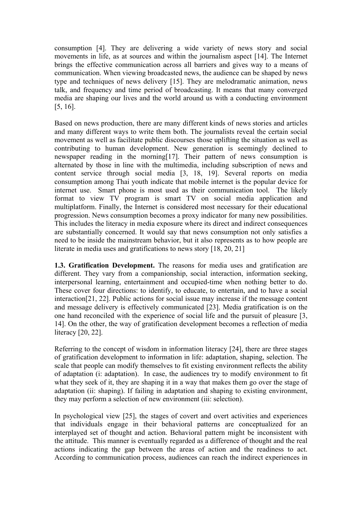consumption [4]. They are delivering a wide variety of news story and social movements in life, as at sources and within the journalism aspect [14]. The Internet brings the effective communication across all barriers and gives way to a means of communication. When viewing broadcasted news, the audience can be shaped by news type and techniques of news delivery [15]. They are melodramatic animation, news talk, and frequency and time period of broadcasting. It means that many converged media are shaping our lives and the world around us with a conducting environment [5, 16].

Based on news production, there are many different kinds of news stories and articles and many different ways to write them both. The journalists reveal the certain social movement as well as facilitate public discourses those uplifting the situation as well as contributing to human development. New generation is seemingly declined to newspaper reading in the morning[17]. Their pattern of news consumption is alternated by those in line with the multimedia, including subscription of news and content service through social media [3, 18, 19]. Several reports on media consumption among Thai youth indicate that mobile internet is the popular device for internet use. Smart phone is most used as their communication tool. The likely format to view TV program is smart TV on social media application and multiplatform. Finally, the Internet is considered most necessary for their educational progression. News consumption becomes a proxy indicator for many new possibilities. This includes the literacy in media exposure where its direct and indirect consequences are substantially concerned. It would say that news consumption not only satisfies a need to be inside the mainstream behavior, but it also represents as to how people are literate in media uses and gratifications to news story [18, 20, 21]

**1.3. Gratification Development.** The reasons for media uses and gratification are different. They vary from a companionship, social interaction, information seeking, interpersonal learning, entertainment and occupied-time when nothing better to do. These cover four directions: to identify, to educate, to entertain, and to have a social interaction[21, 22]. Public actions for social issue may increase if the message content and message delivery is effectively communicated [23]. Media gratification is on the one hand reconciled with the experience of social life and the pursuit of pleasure [3, 14]. On the other, the way of gratification development becomes a reflection of media literacy [20, 22].

Referring to the concept of wisdom in information literacy [24], there are three stages of gratification development to information in life: adaptation, shaping, selection. The scale that people can modify themselves to fit existing environment reflects the ability of adaptation (i: adaptation). In case, the audiences try to modify environment to fit what they seek of it, they are shaping it in a way that makes them go over the stage of adaptation (ii: shaping). If failing in adaptation and shaping to existing environment, they may perform a selection of new environment (iii: selection).

In psychological view [25], the stages of covert and overt activities and experiences that individuals engage in their behavioral patterns are conceptualized for an interplayed set of thought and action. Behavioral pattern might be inconsistent with the attitude. This manner is eventually regarded as a difference of thought and the real actions indicating the gap between the areas of action and the readiness to act. According to communication process, audiences can reach the indirect experiences in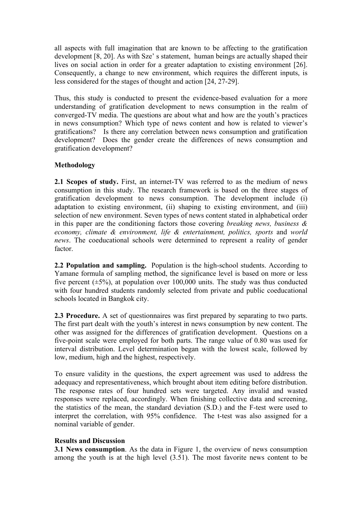all aspects with full imagination that are known to be affecting to the gratification development [8, 20]. As with Sze' s statement, human beings are actually shaped their lives on social action in order for a greater adaptation to existing environment [26]. Consequently, a change to new environment, which requires the different inputs, is less considered for the stages of thought and action [24, 27-29].

Thus, this study is conducted to present the evidence-based evaluation for a more understanding of gratification development to news consumption in the realm of converged-TV media. The questions are about what and how are the youth's practices in news consumption? Which type of news content and how is related to viewer's gratifications? Is there any correlation between news consumption and gratification development? Does the gender create the differences of news consumption and gratification development?

### **Methodology**

**2.1 Scopes of study.** First, an internet-TV was referred to as the medium of news consumption in this study. The research framework is based on the three stages of gratification development to news consumption. The development include (i) adaptation to existing environment, (ii) shaping to existing environment, and (iii) selection of new environment. Seven types of news content stated in alphabetical order in this paper are the conditioning factors those covering *breaking news, business & economy, climate & environment, life & entertainment, politics, sports* and *world news*. The coeducational schools were determined to represent a reality of gender factor.

**2.2 Population and sampling.** Population is the high-school students. According to Yamane formula of sampling method, the significance level is based on more or less five percent  $(\pm 5\%)$ , at population over 100,000 units. The study was thus conducted with four hundred students randomly selected from private and public coeducational schools located in Bangkok city.

**2.3 Procedure.** A set of questionnaires was first prepared by separating to two parts. The first part dealt with the youth's interest in news consumption by new content. The other was assigned for the differences of gratification development. Questions on a five-point scale were employed for both parts. The range value of 0.80 was used for interval distribution. Level determination began with the lowest scale, followed by low, medium, high and the highest, respectively.

To ensure validity in the questions, the expert agreement was used to address the adequacy and representativeness, which brought about item editing before distribution. The response rates of four hundred sets were targeted. Any invalid and wasted responses were replaced, accordingly. When finishing collective data and screening, the statistics of the mean, the standard deviation (S.D.) and the F-test were used to interpret the correlation, with 95% confidence. The t-test was also assigned for a nominal variable of gender.

### **Results and Discussion**

**3.1 News consumption**. As the data in Figure 1, the overview of news consumption among the youth is at the high level (3.51). The most favorite news content to be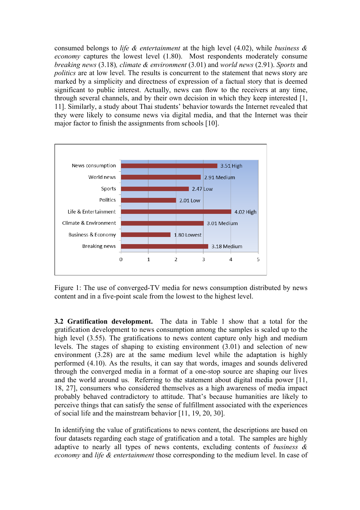consumed belongs to *life & entertainment* at the high level (4.02), while *business & economy* captures the lowest level (1.80). Most respondents moderately consume *breaking news* (3.18)*, climate & environment* (3.01) and *world news* (2.91). *Sports* and *politics* are at low level. The results is concurrent to the statement that news story are marked by a simplicity and directness of expression of a factual story that is deemed significant to public interest. Actually, news can flow to the receivers at any time, through several channels, and by their own decision in which they keep interested [1, 11]. Similarly, a study about Thai students' behavior towards the Internet revealed that they were likely to consume news via digital media, and that the Internet was their major factor to finish the assignments from schools [10].



Figure 1: The use of converged-TV media for news consumption distributed by news content and in a five-point scale from the lowest to the highest level.

**3.2 Gratification development.** The data in Table 1 show that a total for the gratification development to news consumption among the samples is scaled up to the high level (3.55). The gratifications to news content capture only high and medium levels. The stages of shaping to existing environment (3.01) and selection of new environment (3.28) are at the same medium level while the adaptation is highly performed (4.10). As the results, it can say that words, images and sounds delivered through the converged media in a format of a one-stop source are shaping our lives and the world around us. Referring to the statement about digital media power [11, 18, 27], consumers who considered themselves as a high awareness of media impact probably behaved contradictory to attitude. That's because humanities are likely to perceive things that can satisfy the sense of fulfillment associated with the experiences of social life and the mainstream behavior [11, 19, 20, 30].

In identifying the value of gratifications to news content, the descriptions are based on four datasets regarding each stage of gratification and a total. The samples are highly adaptive to nearly all types of news contents, excluding contents of *business & economy* and *life & entertainment* those corresponding to the medium level. In case of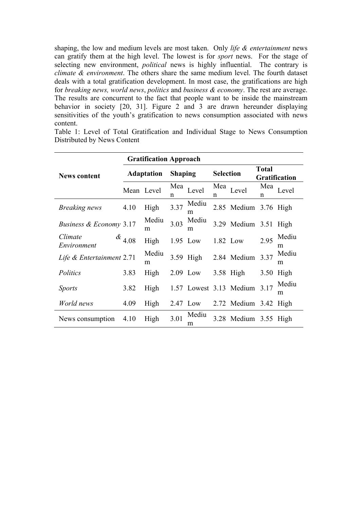shaping, the low and medium levels are most taken. Only *life & entertainment* news can gratify them at the high level. The lowest is for *sport* news. For the stage of selecting new environment, *political* news is highly influential. The contrary is *climate & environment*. The others share the same medium level. The fourth dataset deals with a total gratification development. In most case, the gratifications are high for *breaking news, world news*, *politics* and *business & economy*. The rest are average. The results are concurrent to the fact that people want to be inside the mainstream behavior in society [20, 31]. Figure 2 and 3 are drawn hereunder displaying sensitivities of the youth's gratification to news consumption associated with news content.

Table 1: Level of Total Gratification and Individual Stage to News Consumption Distributed by News Content

|                           | <b>Gratification Approach</b> |            |                |            |                  |                         |                                      |            |
|---------------------------|-------------------------------|------------|----------------|------------|------------------|-------------------------|--------------------------------------|------------|
| <b>News content</b>       | <b>Adaptation</b>             |            | <b>Shaping</b> |            | <b>Selection</b> |                         | <b>Total</b><br><b>Gratification</b> |            |
|                           |                               | Mean Level | Mea<br>n       | Level      | Mea<br>n         | Level                   | Mea<br>n                             | Level      |
| <b>Breaking news</b>      | 4.10                          | High       | 3.37           | Mediu<br>m |                  | 2.85 Medium 3.76 High   |                                      |            |
| Business & Economy 3.17   |                               | Mediu<br>m | 3.03           | Mediu<br>m |                  | 3.29 Medium 3.51 High   |                                      |            |
| Climate<br>Environment    | $\alpha_{4.08}$               | High       |                | 1.95 Low   |                  | 1.82 Low                | 2.95                                 | Mediu<br>m |
| Life & Entertainment 2.71 |                               | Mediu<br>m |                | 3.59 High  |                  | 2.84 Medium             | 3.37                                 | Mediu<br>m |
| Politics                  | 3.83                          | High       |                | 2.09 Low   |                  | $3.58$ High             | 3.50                                 | High       |
| <i>Sports</i>             | 3.82                          | High       |                |            |                  | 1.57 Lowest 3.13 Medium | 3.17                                 | Mediu<br>m |
| World news                | 4.09                          | High       |                | 2.47 Low   |                  | 2.72 Medium 3.42 High   |                                      |            |
| News consumption          | 4.10                          | High       | 3.01           | Mediu<br>m |                  | 3.28 Medium 3.55 High   |                                      |            |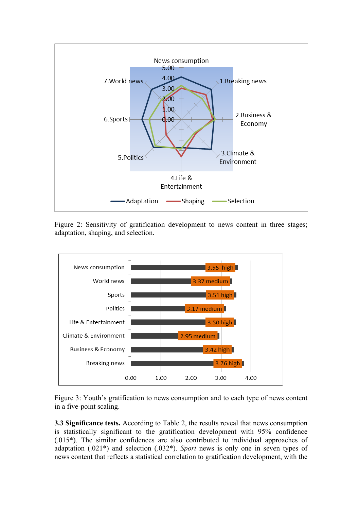

Figure 2: Sensitivity of gratification development to news content in three stages; adaptation, shaping, and selection.



Figure 3: Youth's gratification to news consumption and to each type of news content in a five-point scaling.

**3.3 Significance tests.** According to Table 2, the results reveal that news consumption is statistically significant to the gratification development with 95% confidence (.015\*). The similar confidences are also contributed to individual approaches of adaptation (.021\*) and selection (.032\*). *Sport* news is only one in seven types of news content that reflects a statistical correlation to gratification development, with the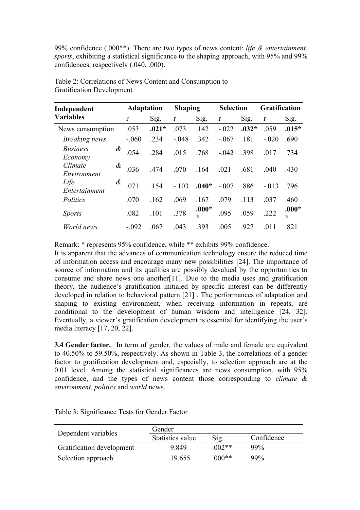99% confidence (.000\*\*). There are two types of news content: *life & entertainment*, *sports*, exhibiting a statistical significance to the shaping approach, with 95% and 99% confidences, respectively (.040, .000).

| Independent                     | <b>Adaptation</b> |         | <b>Shaping</b> |         | <b>Selection</b> |         | <b>Gratification</b> |                    |
|---------------------------------|-------------------|---------|----------------|---------|------------------|---------|----------------------|--------------------|
| <b>Variables</b>                | $\mathbf{r}$      | Sig.    | $\mathbf r$    | Sig.    | $\mathbf r$      | Sig.    | $\mathbf{r}$         | Sig.               |
| News consumption                | .053              | $.021*$ | .073           | .142    | $-.022$          | $.032*$ | .059                 | $.015*$            |
| <b>Breaking</b> news            | $-.060$           | .234    | $-.048$        | .342    | $-.067$          | .181    | $-.020$              | .690               |
| <b>Business</b><br>&<br>Economy | .054              | .284    | .015           | .768    | $-.042$          | .398    | .017                 | .734               |
| Climate<br>&<br>Environment     | .036              | .474    | .070           | .164    | .021             | .681    | .040                 | .430               |
| Life<br>&<br>Entertainment      | .071              | .154    | $-.103$        | $.040*$ | $-.007$          | .886    | $-.013$              | .796               |
| Politics                        | .070              | .162    | .069           | .167    | .079             | .113    | .037                 | .460               |
| <i>Sports</i>                   | .082              | .101    | .378           | $.000*$ | .095             | .059    | .222                 | $.000*$<br>$\star$ |
| World news                      | $-.092$           | .067    | .043           | .393    | .005             | .927    | .011                 | .821               |

Table 2: Correlations of News Content and Consumption to Gratification Development

Remark: \* represents 95% confidence, while \*\* exhibits 99% confidence.

It is apparent that the advances of communication technology ensure the reduced time of information access and encourage many new possibilities [24]. The importance of source of information and its qualities are possibly devalued by the opportunities to consume and share news one another[11]. Due to the media uses and gratification theory, the audience's gratification initialed by specific interest can be differently developed in relation to behavioral pattern [21] . The performances of adaptation and shaping to existing environment, when receiving information in repeats, are conditional to the development of human wisdom and intelligence [24, 32]. Eventually, a viewer's gratification development is essential for identifying the user's media literacy [17, 20, 22].

**3.4 Gender factor.** In term of gender, the values of male and female are equivalent to 40.50% to 59.50%, respectively. As shown in Table 3, the correlations of a gender factor to gratification development and, especially, to selection approach are at the 0.01 level. Among the statistical significances are news consumption, with 95% confidence, and the types of news content those corresponding to *climate & environment*, *politics* and *world* news.

|                           | Gender           |         |            |  |  |  |
|---------------------------|------------------|---------|------------|--|--|--|
| Dependent variables       | Statistics value | Sig.    | Confidence |  |  |  |
| Gratification development | 9849             | $002**$ | $99\%$     |  |  |  |
| Selection approach        | 19.655           | $000**$ | 99%        |  |  |  |

Table 3: Significance Tests for Gender Factor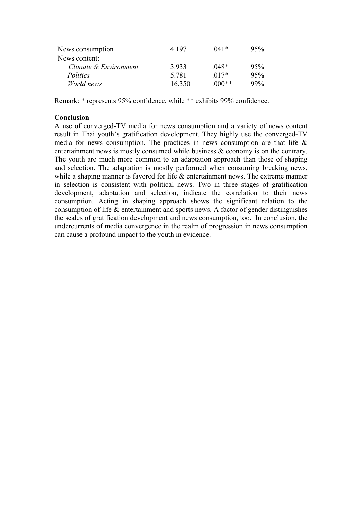| News consumption      | 4 1 9 7 | $041*$  | 95%    |  |
|-----------------------|---------|---------|--------|--|
| News content:         |         |         |        |  |
| Climate & Environment | 3933    | $048*$  | 95%    |  |
| Politics              | 5 7 8 1 | $017*$  | 95%    |  |
| World news            | 16 350  | $000**$ | $99\%$ |  |

Remark: \* represents 95% confidence, while \*\* exhibits 99% confidence.

# **Conclusion**

A use of converged-TV media for news consumption and a variety of news content result in Thai youth's gratification development. They highly use the converged-TV media for news consumption. The practices in news consumption are that life  $\&$ entertainment news is mostly consumed while business  $\&$  economy is on the contrary. The youth are much more common to an adaptation approach than those of shaping and selection. The adaptation is mostly performed when consuming breaking news, while a shaping manner is favored for life  $\&$  entertainment news. The extreme manner in selection is consistent with political news. Two in three stages of gratification development, adaptation and selection, indicate the correlation to their news consumption. Acting in shaping approach shows the significant relation to the consumption of life & entertainment and sports news. A factor of gender distinguishes the scales of gratification development and news consumption, too. In conclusion, the undercurrents of media convergence in the realm of progression in news consumption can cause a profound impact to the youth in evidence.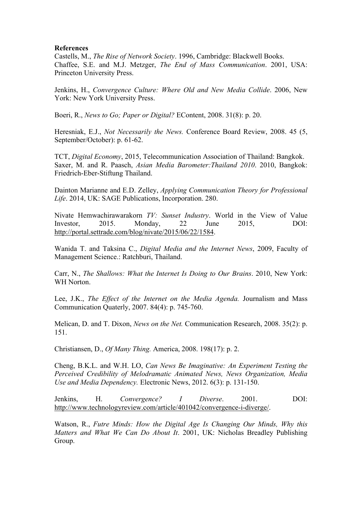### **References**

Castells, M., *The Rise of Network Society*. 1996, Cambridge: Blackwell Books. Chaffee, S.E. and M.J. Metzger, *The End of Mass Communication*. 2001, USA: Princeton University Press.

Jenkins, H., *Convergence Culture: Where Old and New Media Collide*. 2006, New York: New York University Press.

Boeri, R., *News to Go; Paper or Digital?* EContent, 2008. 31(8): p. 20.

Heresniak, E.J., *Not Necessarily the News.* Conference Board Review, 2008. 45 (5, September/October): p. 61-62.

TCT, *Digital Economy*, 2015, Telecommunication Association of Thailand: Bangkok. Saxer, M. and R. Paasch, *Asian Media Barometer:Thailand 2010*. 2010, Bangkok: Friedrich-Eber-Stiftung Thailand.

Dainton Marianne and E.D. Zelley, *Applying Communication Theory for Professional Life*. 2014, UK: SAGE Publications, Incorporation. 280.

Nivate Hemwachirawarakorn *TV: Sunset Industry*. World in the View of Value Investor, 2015. Monday, 22 June 2015, DOI: http://portal.settrade.com/blog/nivate/2015/06/22/1584.

Wanida T. and Taksina C., *Digital Media and the Internet News*, 2009, Faculty of Management Science.: Ratchburi, Thailand.

Carr, N., *The Shallows: What the Internet Is Doing to Our Brains*. 2010, New York: WH Norton.

Lee, J.K., *The Effect of the Internet on the Media Agenda.* Journalism and Mass Communication Quaterly, 2007. 84(4): p. 745-760.

Melican, D. and T. Dixon, *News on the Net.* Communication Research, 2008. 35(2): p. 151.

Christiansen, D., *Of Many Thing.* America, 2008. 198(17): p. 2.

Cheng, B.K.L. and W.H. LO, *Can News Be Imaginative: An Experiment Testing the Perceived Credibility of Melodramatic Animated News, News Organization, Media Use and Media Dependency.* Electronic News, 2012. 6(3): p. 131-150.

Jenkins, H. *Convergence? I Diverse*. 2001. DOI: http://www.technologyreview.com/article/401042/convergence-i-diverge/.

Watson, R., *Futre Minds: How the Digital Age Is Changing Our Minds, Why this Matters and What We Can Do About It*. 2001, UK: Nicholas Breadley Publishing Group.